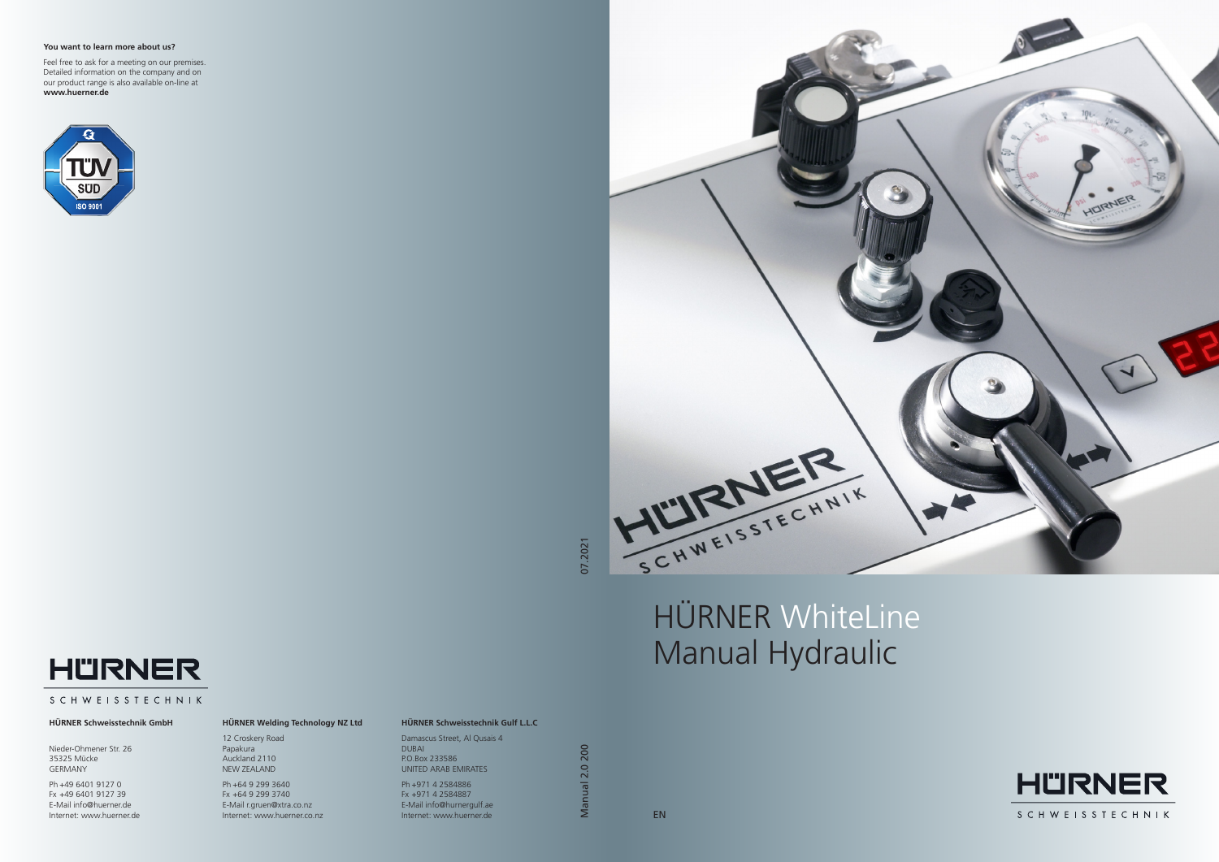

07.2021

**Manual 2.0 200** Manual 2.0 200

#### **You want to learn more about us?**

Feel free to ask for a meeting on our premises. Detailed information on the company and on our product range is also available on-line at **www.huerner.de**





#### **HÜRNER Schweisstechnik GmbH**

Nieder-Ohmener Str. 26 35325 Mücke GERMANY

Ph +49 6401 9127 0 Fx +49 6401 9127 39 E-Mail info@huerner.de Internet: www.huerner.de

### **HÜRNER Welding Technology NZ Ltd**

12 Croskery Road Papakura Auckland 2110 NEW ZEALAND

Ph +64 9 299 3640 Fx +64 9 299 3740 E-Mail r.gruen@xtra.co.nz Internet: www.huerner.co.nz

#### **HÜRNER Schweisstechnik Gulf L.L.C**

Damascus Street, Al Qusais 4 DUBAI P.O.Box 233586 UNITED ARAB EMIRATES

Ph +971 4 2584886 Fx +971 4 2584887 E-Mail info@hurnergulf.ae Internet: www.huerner.de

# HÜRNER WhiteLine Manual Hydraulic



## **SCHWEISSTECHNIK**